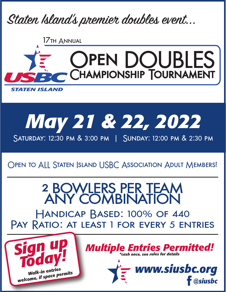

17th Annual





# Open to ALL Staten Island USBC Association Adult Members!

2 BOWLERS PER TEAM ANY COMBINATION Handicap Based: 100% of 440 PAY RATIO: AT LEAST 1 FOR EVERY 5 ENTRIES

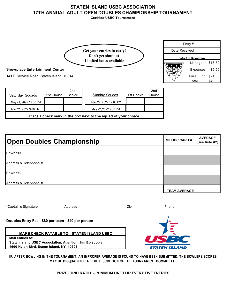# **STATEN ISLAND USBC ASSOCIATION 17TH ANNUAL ADULT OPEN DOUBLES CHAMPIONSHIP TOURNAMENT**

**Certified USBC Tournament**



## **Showplace Entertainment Center**

141 E Service Road, Staten Island, 10314

| Saturday Squads                                                | 1st Choice | 2nd<br>Choice |  | Sunday Squads         | 1st Choice | 2 <sub>nd</sub><br>Choice |  |  |
|----------------------------------------------------------------|------------|---------------|--|-----------------------|------------|---------------------------|--|--|
| May 21, 2022 12:30 PM                                          |            |               |  | May 22, 2022 12:00 PM |            |                           |  |  |
| May 21, 2022 3:00 PM                                           |            |               |  | May 22, 2022 2:30 PM  |            |                           |  |  |
| Place a check mark in the box next to the squad of your choice |            |               |  |                       |            |                           |  |  |

| <b>Open Doubles Championship</b> | <b>SIUSBC CARD#</b> | <b>AVERAGE</b><br>(See Rule #2) |
|----------------------------------|---------------------|---------------------------------|
| Bowler #1                        |                     |                                 |
| Address & Telephone #            |                     |                                 |
| Bowler #2                        |                     |                                 |
| Address & Telephone #            |                     |                                 |
|                                  | <b>TEAM AVERAGE</b> |                                 |

| *Captain's Signature                               | Address                                                         | Zip | Phone                |
|----------------------------------------------------|-----------------------------------------------------------------|-----|----------------------|
| Doubles Entry Fee: \$80 per team - \$40 per person |                                                                 |     |                      |
|                                                    | <b>MAKE CHECK PAYABLE TO: STATEN ISLAND USBC</b>                |     |                      |
| Mail entries to:                                   | <b>Staten Island USBC Association, Attention: Jim Episcopia</b> |     |                      |
| 1600 Hylan Blvd, Staten Island, NY 10305           |                                                                 |     | <b>STATEN ISLAND</b> |

**IF, AFTER BOWLING IN THE TOURNAMENT, AN IMPROPER AVERAGE IS FOUND TO HAVE BEEN SUBMITTED, THE BOWLERS SCORES MAY BE DISQUALIFIED AT THE DISCRETION OF THE TOURNAMENT COMMITTEE.**

**PRIZE FUND RATIO - MINIMUM ONE FOR EVERY FIVE ENTRIES**